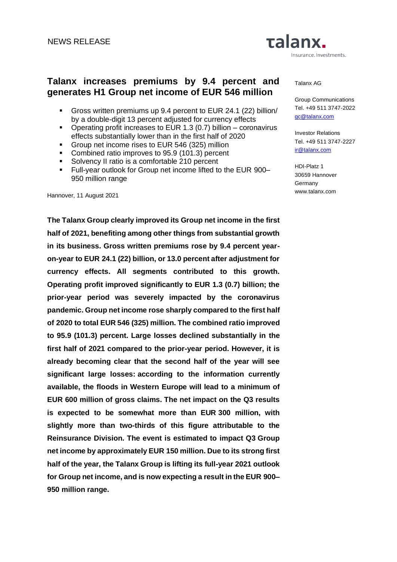# **Talanx increases premiums by 9.4 percent and generates H1 Group net income of EUR 546 million**

- Gross written premiums up 9.4 percent to EUR 24.1 (22) billion/ by a double-digit 13 percent adjusted for currency effects
- **•** Operating profit increases to EUR 1.3 (0.7) billion coronavirus effects substantially lower than in the first half of 2020
- **Group net income rises to EUR 546 (325) million**
- Combined ratio improves to 95.9 (101.3) percent
- Solvency II ratio is a comfortable 210 percent
- Full-year outlook for Group net income lifted to the EUR 900– 950 million range

Hannover, 11 August 2021

**The Talanx Group clearly improved its Group net income in the first half of 2021, benefiting among other things from substantial growth in its business. Gross written premiums rose by 9.4 percent yearon-year to EUR 24.1 (22) billion, or 13.0 percent after adjustment for currency effects. All segments contributed to this growth. Operating profit improved significantly to EUR 1.3 (0.7) billion; the prior-year period was severely impacted by the coronavirus pandemic. Group net income rose sharply compared to the first half of 2020 to total EUR 546 (325) million. The combined ratio improved to 95.9 (101.3) percent. Large losses declined substantially in the first half of 2021 compared to the prior-year period. However, it is already becoming clear that the second half of the year will see significant large losses: according to the information currently available, the floods in Western Europe will lead to a minimum of EUR 600 million of gross claims. The net impact on the Q3 results is expected to be somewhat more than EUR 300 million, with slightly more than two-thirds of this figure attributable to the Reinsurance Division. The event is estimated to impact Q3 Group net income by approximately EUR 150 million. Due to its strong first half of the year, the Talanx Group is lifting its full-year 2021 outlook for Group net income, and is now expecting a result in the EUR 900– 950 million range.** 

Insurance. Investments.

#### Talanx AG

**Talanx.** 

Group Communications Tel. +49 511 3747-2022 gc@talanx.com

Investor Relations Tel. +49 511 3747-2227 [ir@talanx.com](mailto:ir@talanx.com) 

HDI-Platz 1 30659 Hannover Germany www.talanx.com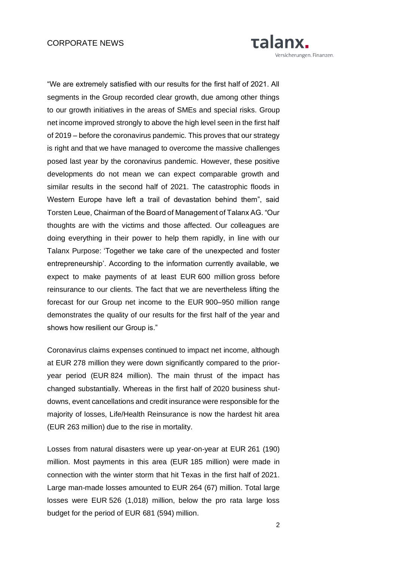#### CORPORATE NEWS



"We are extremely satisfied with our results for the first half of 2021. All segments in the Group recorded clear growth, due among other things to our growth initiatives in the areas of SMEs and special risks. Group net income improved strongly to above the high level seen in the first half of 2019 – before the coronavirus pandemic. This proves that our strategy is right and that we have managed to overcome the massive challenges posed last year by the coronavirus pandemic. However, these positive developments do not mean we can expect comparable growth and similar results in the second half of 2021. The catastrophic floods in Western Europe have left a trail of devastation behind them", said Torsten Leue, Chairman of the Board of Management of Talanx AG. "Our thoughts are with the victims and those affected. Our colleagues are doing everything in their power to help them rapidly, in line with our Talanx Purpose: 'Together we take care of the unexpected and foster entrepreneurship'. According to the information currently available, we expect to make payments of at least EUR 600 million gross before reinsurance to our clients. The fact that we are nevertheless lifting the forecast for our Group net income to the EUR 900–950 million range demonstrates the quality of our results for the first half of the year and shows how resilient our Group is."

Coronavirus claims expenses continued to impact net income, although at EUR 278 million they were down significantly compared to the prioryear period (EUR 824 million). The main thrust of the impact has changed substantially. Whereas in the first half of 2020 business shutdowns, event cancellations and credit insurance were responsible for the majority of losses, Life/Health Reinsurance is now the hardest hit area (EUR 263 million) due to the rise in mortality.

Losses from natural disasters were up year-on-year at EUR 261 (190) million. Most payments in this area (EUR 185 million) were made in connection with the winter storm that hit Texas in the first half of 2021. Large man-made losses amounted to EUR 264 (67) million. Total large losses were EUR 526 (1,018) million, below the pro rata large loss budget for the period of EUR 681 (594) million.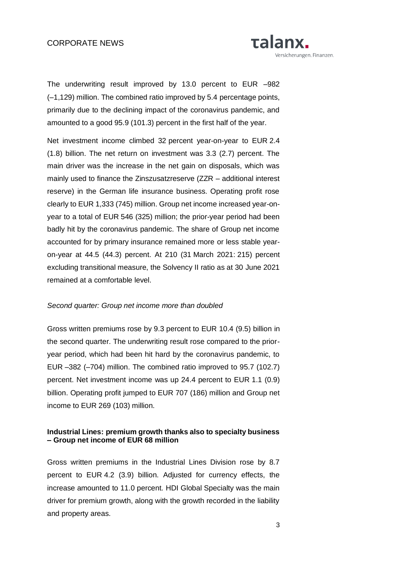

The underwriting result improved by 13.0 percent to EUR –982 (–1,129) million. The combined ratio improved by 5.4 percentage points, primarily due to the declining impact of the coronavirus pandemic, and amounted to a good 95.9 (101.3) percent in the first half of the year.

Net investment income climbed 32 percent year-on-year to EUR 2.4 (1.8) billion. The net return on investment was 3.3 (2.7) percent. The main driver was the increase in the net gain on disposals, which was mainly used to finance the Zinszusatzreserve (ZZR – additional interest reserve) in the German life insurance business. Operating profit rose clearly to EUR 1,333 (745) million. Group net income increased year-onyear to a total of EUR 546 (325) million; the prior-year period had been badly hit by the coronavirus pandemic. The share of Group net income accounted for by primary insurance remained more or less stable yearon-year at 44.5 (44.3) percent. At 210 (31 March 2021: 215) percent excluding transitional measure, the Solvency II ratio as at 30 June 2021 remained at a comfortable level.

#### *Second quarter: Group net income more than doubled*

Gross written premiums rose by 9.3 percent to EUR 10.4 (9.5) billion in the second quarter. The underwriting result rose compared to the prioryear period, which had been hit hard by the coronavirus pandemic, to EUR –382 (–704) million. The combined ratio improved to 95.7 (102.7) percent. Net investment income was up 24.4 percent to EUR 1.1 (0.9) billion. Operating profit jumped to EUR 707 (186) million and Group net income to EUR 269 (103) million.

### **Industrial Lines: premium growth thanks also to specialty business – Group net income of EUR 68 million**

Gross written premiums in the Industrial Lines Division rose by 8.7 percent to EUR 4.2 (3.9) billion. Adjusted for currency effects, the increase amounted to 11.0 percent. HDI Global Specialty was the main driver for premium growth, along with the growth recorded in the liability and property areas.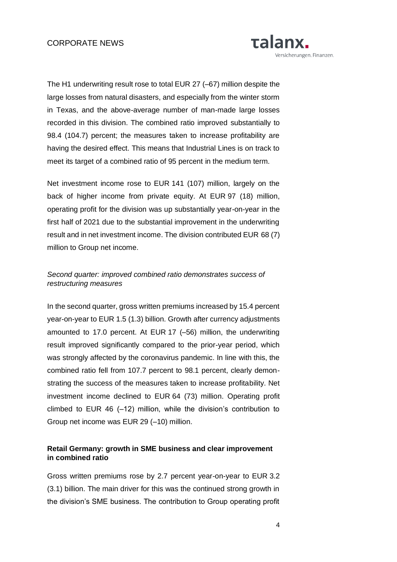

The H1 underwriting result rose to total EUR 27 (–67) million despite the large losses from natural disasters, and especially from the winter storm in Texas, and the above-average number of man-made large losses recorded in this division. The combined ratio improved substantially to 98.4 (104.7) percent; the measures taken to increase profitability are having the desired effect. This means that Industrial Lines is on track to meet its target of a combined ratio of 95 percent in the medium term.

Net investment income rose to EUR 141 (107) million, largely on the back of higher income from private equity. At EUR 97 (18) million, operating profit for the division was up substantially year-on-year in the first half of 2021 due to the substantial improvement in the underwriting result and in net investment income. The division contributed EUR 68 (7) million to Group net income.

### *Second quarter: improved combined ratio demonstrates success of restructuring measures*

In the second quarter, gross written premiums increased by 15.4 percent year-on-year to EUR 1.5 (1.3) billion. Growth after currency adjustments amounted to 17.0 percent. At EUR 17 (–56) million, the underwriting result improved significantly compared to the prior-year period, which was strongly affected by the coronavirus pandemic. In line with this, the combined ratio fell from 107.7 percent to 98.1 percent, clearly demonstrating the success of the measures taken to increase profitability. Net investment income declined to EUR 64 (73) million. Operating profit climbed to EUR 46 (–12) million, while the division's contribution to Group net income was EUR 29 (–10) million.

### **Retail Germany: growth in SME business and clear improvement in combined ratio**

Gross written premiums rose by 2.7 percent year-on-year to EUR 3.2 (3.1) billion. The main driver for this was the continued strong growth in the division's SME business. The contribution to Group operating profit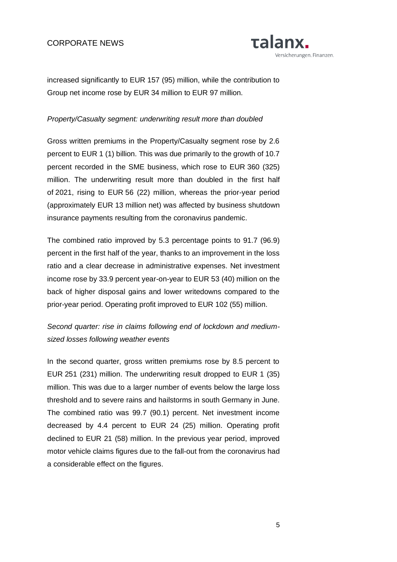

increased significantly to EUR 157 (95) million, while the contribution to Group net income rose by EUR 34 million to EUR 97 million.

#### *Property/Casualty segment: underwriting result more than doubled*

Gross written premiums in the Property/Casualty segment rose by 2.6 percent to EUR 1 (1) billion. This was due primarily to the growth of 10.7 percent recorded in the SME business, which rose to EUR 360 (325) million. The underwriting result more than doubled in the first half of 2021, rising to EUR 56 (22) million, whereas the prior-year period (approximately EUR 13 million net) was affected by business shutdown insurance payments resulting from the coronavirus pandemic.

The combined ratio improved by 5.3 percentage points to 91.7 (96.9) percent in the first half of the year, thanks to an improvement in the loss ratio and a clear decrease in administrative expenses. Net investment income rose by 33.9 percent year-on-year to EUR 53 (40) million on the back of higher disposal gains and lower writedowns compared to the prior-year period. Operating profit improved to EUR 102 (55) million.

# *Second quarter: rise in claims following end of lockdown and mediumsized losses following weather events*

In the second quarter, gross written premiums rose by 8.5 percent to EUR 251 (231) million. The underwriting result dropped to EUR 1 (35) million. This was due to a larger number of events below the large loss threshold and to severe rains and hailstorms in south Germany in June. The combined ratio was 99.7 (90.1) percent. Net investment income decreased by 4.4 percent to EUR 24 (25) million. Operating profit declined to EUR 21 (58) million. In the previous year period, improved motor vehicle claims figures due to the fall-out from the coronavirus had a considerable effect on the figures.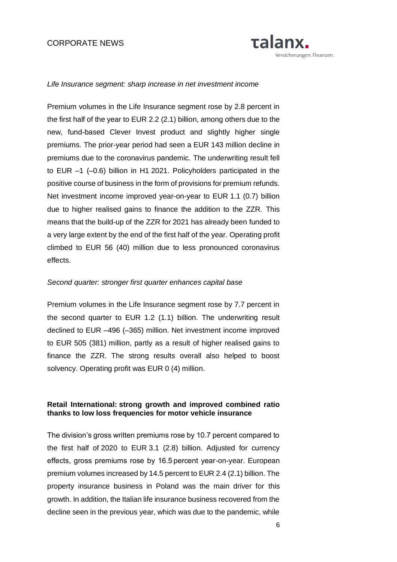### CORPORATE NEWS



#### *Life Insurance segment: sharp increase in net investment income*

Premium volumes in the Life Insurance segment rose by 2.8 percent in the first half of the year to EUR 2.2 (2.1) billion, among others due to the new, fund-based Clever Invest product and slightly higher single premiums. The prior-year period had seen a EUR 143 million decline in premiums due to the coronavirus pandemic. The underwriting result fell to EUR –1 (–0.6) billion in H1 2021. Policyholders participated in the positive course of business in the form of provisions for premium refunds. Net investment income improved year-on-year to EUR 1.1 (0.7) billion due to higher realised gains to finance the addition to the ZZR. This means that the build-up of the ZZR for 2021 has already been funded to a very large extent by the end of the first half of the year. Operating profit climbed to EUR 56 (40) million due to less pronounced coronavirus effects.

#### *Second quarter: stronger first quarter enhances capital base*

Premium volumes in the Life Insurance segment rose by 7.7 percent in the second quarter to EUR 1.2 (1.1) billion. The underwriting result declined to EUR –496 (–365) million. Net investment income improved to EUR 505 (381) million, partly as a result of higher realised gains to finance the ZZR. The strong results overall also helped to boost solvency. Operating profit was EUR 0 (4) million.

#### **Retail International: strong growth and improved combined ratio thanks to low loss frequencies for motor vehicle insurance**

The division's gross written premiums rose by 10.7 percent compared to the first half of 2020 to EUR 3.1 (2.8) billion. Adjusted for currency effects, gross premiums rose by 16.5 percent year-on-year. European premium volumes increased by 14.5 percent to EUR 2.4 (2.1) billion. The property insurance business in Poland was the main driver for this growth. In addition, the Italian life insurance business recovered from the decline seen in the previous year, which was due to the pandemic, while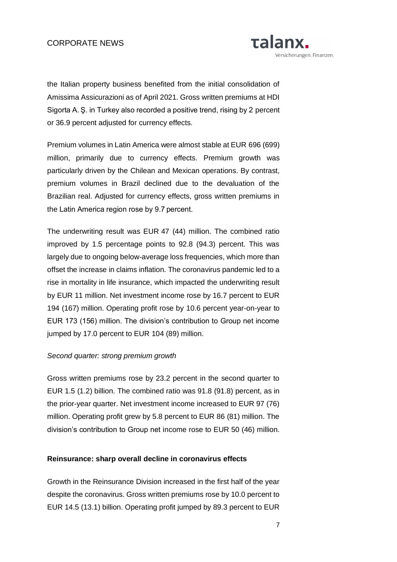### CORPORATE NEWS



the Italian property business benefited from the initial consolidation of Amissima Assicurazioni as of April 2021. Gross written premiums at HDI Sigorta A. Ş. in Turkey also recorded a positive trend, rising by 2 percent or 36.9 percent adjusted for currency effects.

Premium volumes in Latin America were almost stable at EUR 696 (699) million, primarily due to currency effects. Premium growth was particularly driven by the Chilean and Mexican operations. By contrast, premium volumes in Brazil declined due to the devaluation of the Brazilian real. Adjusted for currency effects, gross written premiums in the Latin America region rose by 9.7 percent.

The underwriting result was EUR 47 (44) million. The combined ratio improved by 1.5 percentage points to 92.8 (94.3) percent. This was largely due to ongoing below-average loss frequencies, which more than offset the increase in claims inflation. The coronavirus pandemic led to a rise in mortality in life insurance, which impacted the underwriting result by EUR 11 million. Net investment income rose by 16.7 percent to EUR 194 (167) million. Operating profit rose by 10.6 percent year-on-year to EUR 173 (156) million. The division's contribution to Group net income jumped by 17.0 percent to EUR 104 (89) million.

#### *Second quarter: strong premium growth*

Gross written premiums rose by 23.2 percent in the second quarter to EUR 1.5 (1.2) billion. The combined ratio was 91.8 (91.8) percent, as in the prior-year quarter. Net investment income increased to EUR 97 (76) million. Operating profit grew by 5.8 percent to EUR 86 (81) million. The division's contribution to Group net income rose to EUR 50 (46) million.

#### **Reinsurance: sharp overall decline in coronavirus effects**

Growth in the Reinsurance Division increased in the first half of the year despite the coronavirus. Gross written premiums rose by 10.0 percent to EUR 14.5 (13.1) billion. Operating profit jumped by 89.3 percent to EUR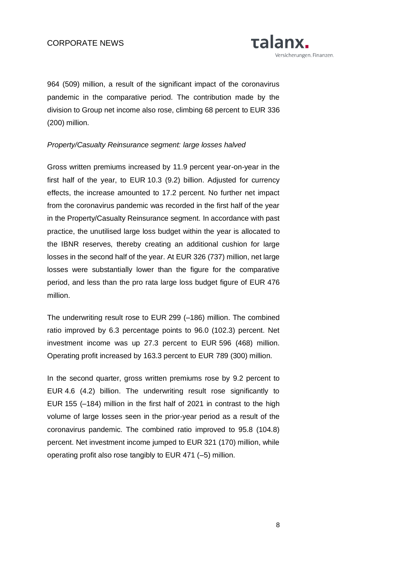

964 (509) million, a result of the significant impact of the coronavirus pandemic in the comparative period. The contribution made by the division to Group net income also rose, climbing 68 percent to EUR 336 (200) million.

### *Property/Casualty Reinsurance segment: large losses halved*

Gross written premiums increased by 11.9 percent year-on-year in the first half of the year, to EUR 10.3 (9.2) billion. Adjusted for currency effects, the increase amounted to 17.2 percent. No further net impact from the coronavirus pandemic was recorded in the first half of the year in the Property/Casualty Reinsurance segment. In accordance with past practice, the unutilised large loss budget within the year is allocated to the IBNR reserves, thereby creating an additional cushion for large losses in the second half of the year. At EUR 326 (737) million, net large losses were substantially lower than the figure for the comparative period, and less than the pro rata large loss budget figure of EUR 476 million.

The underwriting result rose to EUR 299 (–186) million. The combined ratio improved by 6.3 percentage points to 96.0 (102.3) percent. Net investment income was up 27.3 percent to EUR 596 (468) million. Operating profit increased by 163.3 percent to EUR 789 (300) million.

In the second quarter, gross written premiums rose by 9.2 percent to EUR 4.6 (4.2) billion. The underwriting result rose significantly to EUR 155 (–184) million in the first half of 2021 in contrast to the high volume of large losses seen in the prior-year period as a result of the coronavirus pandemic. The combined ratio improved to 95.8 (104.8) percent. Net investment income jumped to EUR 321 (170) million, while operating profit also rose tangibly to EUR 471 (–5) million.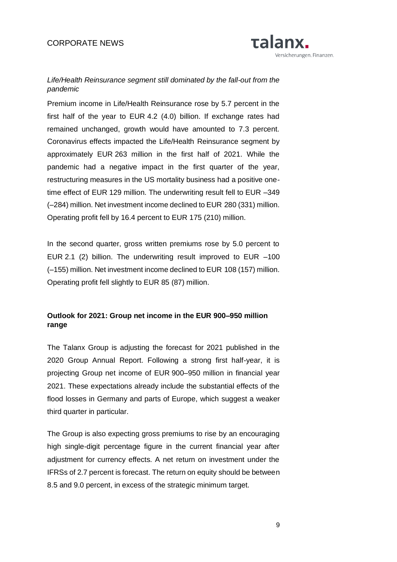

# *Life/Health Reinsurance segment still dominated by the fall-out from the pandemic*

Premium income in Life/Health Reinsurance rose by 5.7 percent in the first half of the year to EUR 4.2 (4.0) billion. If exchange rates had remained unchanged, growth would have amounted to 7.3 percent. Coronavirus effects impacted the Life/Health Reinsurance segment by approximately EUR 263 million in the first half of 2021. While the pandemic had a negative impact in the first quarter of the year, restructuring measures in the US mortality business had a positive onetime effect of EUR 129 million. The underwriting result fell to EUR –349 (–284) million. Net investment income declined to EUR 280 (331) million. Operating profit fell by 16.4 percent to EUR 175 (210) million.

In the second quarter, gross written premiums rose by 5.0 percent to EUR 2.1 (2) billion. The underwriting result improved to EUR –100 (–155) million. Net investment income declined to EUR 108 (157) million. Operating profit fell slightly to EUR 85 (87) million.

# **Outlook for 2021: Group net income in the EUR 900–950 million range**

The Talanx Group is adjusting the forecast for 2021 published in the 2020 Group Annual Report. Following a strong first half-year, it is projecting Group net income of EUR 900–950 million in financial year 2021. These expectations already include the substantial effects of the flood losses in Germany and parts of Europe, which suggest a weaker third quarter in particular.

The Group is also expecting gross premiums to rise by an encouraging high single-digit percentage figure in the current financial year after adjustment for currency effects. A net return on investment under the IFRSs of 2.7 percent is forecast. The return on equity should be between 8.5 and 9.0 percent, in excess of the strategic minimum target.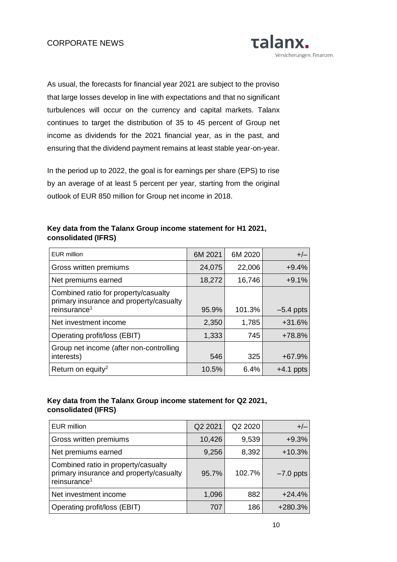

As usual, the forecasts for financial year 2021 are subject to the proviso that large losses develop in line with expectations and that no significant turbulences will occur on the currency and capital markets. Talanx continues to target the distribution of 35 to 45 percent of Group net income as dividends for the 2021 financial year, as in the past, and ensuring that the dividend payment remains at least stable year-on-year.

In the period up to 2022, the goal is for earnings per share (EPS) to rise by an average of at least 5 percent per year, starting from the original outlook of EUR 850 million for Group net income in 2018.

### **Key data from the Talanx Group income statement for H1 2021, consolidated (IFRS)**

| <b>EUR million</b>                                                                                          | 6M 2021 | 6M 2020 | $+/-$       |
|-------------------------------------------------------------------------------------------------------------|---------|---------|-------------|
| Gross written premiums                                                                                      | 24,075  | 22,006  | $+9.4%$     |
| Net premiums earned                                                                                         | 18,272  | 16,746  | $+9.1%$     |
| Combined ratio for property/casualty<br>primary insurance and property/casualty<br>reinsurance <sup>1</sup> | 95.9%   | 101.3%  | $-5.4$ ppts |
| Net investment income                                                                                       | 2,350   | 1,785   | +31.6%      |
| Operating profit/loss (EBIT)                                                                                | 1,333   | 745     | +78.8%      |
| Group net income (after non-controlling<br>interests)                                                       | 546     | 325     | $+67.9%$    |
| Return on equity <sup>2</sup>                                                                               | 10.5%   | 6.4%    | $+4.1$ ppts |

### **Key data from the Talanx Group income statement for Q2 2021, consolidated (IFRS)**

| <b>EUR million</b>                                                                                         | Q2 2021 | Q2 2020 | $+/-$       |
|------------------------------------------------------------------------------------------------------------|---------|---------|-------------|
| Gross written premiums                                                                                     | 10,426  | 9,539   | $+9.3%$     |
| Net premiums earned                                                                                        | 9,256   | 8,392   | $+10.3%$    |
| Combined ratio in property/casualty<br>primary insurance and property/casualty<br>reinsurance <sup>1</sup> | 95.7%   | 102.7%  | $-7.0$ ppts |
| Net investment income                                                                                      | 1,096   | 882     | $+24.4%$    |
| Operating profit/loss (EBIT)                                                                               | 707     | 186     | +280.3%     |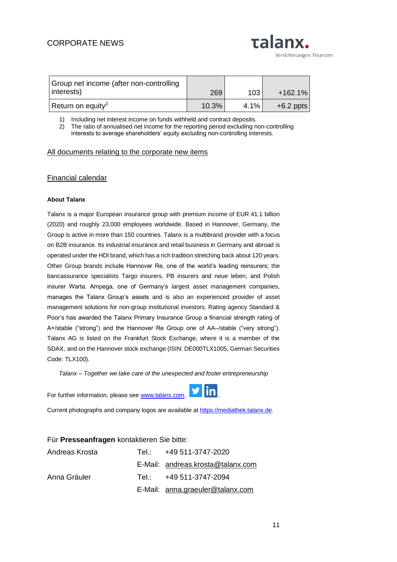| <b>Talanx.</b>           |
|--------------------------|
| Versicherungen. Finanzen |

| Group net income (after non-controlling<br>interests) | 269   | 103  | $+162.1%$   |
|-------------------------------------------------------|-------|------|-------------|
| Return on equity <sup>2</sup>                         | 10.3% | 4.1% | $+6.2$ ppts |

1) Including net interest income on funds withheld and contract deposits.

2) The ratio of annualised net income for the reporting period excluding non-controlling interests to average shareholders' equity excluding non-controlling interests.

#### [All documents relating to the corporate new items](https://www.talanx.com/investor-relations/presentations-and-events/disclosure/2020.aspx?sc_lang=de-DE)

#### [Financial calendar](https://www.talanx.com/de/investor_relations/hauptversammlung_-_events/finanzkalender?year=2021)

#### **About Talanx**

Talanx is a major European insurance group with premium income of EUR 41.1 billion (2020) and roughly 23,000 employees worldwide. Based in Hannover, Germany, the Group is active in more than 150 countries. Talanx is a multibrand provider with a focus on B2B insurance. Its industrial insurance and retail business in Germany and abroad is operated under the HDI brand, which has a rich tradition stretching back about 120 years. Other Group brands include Hannover Re, one of the world's leading reinsurers; the bancassurance specialists Targo insurers, PB insurers and neue leben; and Polish insurer Warta. Ampega, one of Germany's largest asset management companies, manages the Talanx Group's assets and is also an experienced provider of asset management solutions for non-group institutional investors. Rating agency Standard & Poor's has awarded the Talanx Primary Insurance Group a financial strength rating of A+/stable ("strong") and the Hannover Re Group one of AA–/stable ("very strong"). Talanx AG is listed on the Frankfurt Stock Exchange, where it is a member of the SDAX, and on the Hannover stock exchange (ISIN: DE000TLX1005, German Securities Code: TLX100).

*Talanx – Together we take care of the unexpected and foster entrepreneurship*

For further information, please see [www.talanx.com.](http://www.talanx.com/) 



Current photographs and company logos are available at [https://mediathek.talanx.de.](https://mediathek.talanx.de/)

| Für Presseanfragen kontaktieren Sie bitte: |  |                                   |  |
|--------------------------------------------|--|-----------------------------------|--|
| Andreas Krosta                             |  | Tel.: +49 511-3747-2020           |  |
|                                            |  | E-Mail: andreas.krosta@talanx.com |  |
| Anna Gräuler                               |  | Tel.: +49 511-3747-2094           |  |
|                                            |  | E-Mail: anna.graeuler@talanx.com  |  |